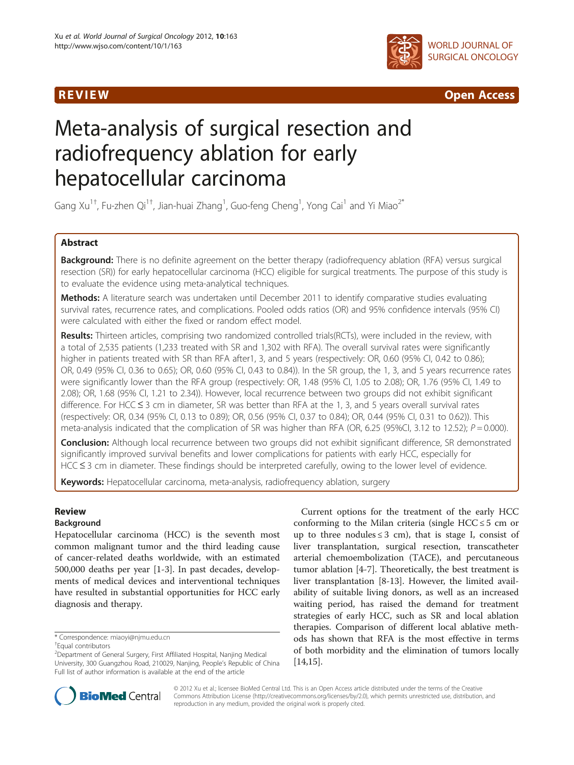

**REVIEW CONSIDERING CONSIDERING CONSIDERING CONSIDERING CONSIDERING CONSIDERING CONSIDERING CONSIDERING CONSIDERING CONSIDERING CONSIDERING CONSIDERING CONSIDERING CONSIDERING CONSIDERING CONSIDERING CONSIDERING CONSIDER** 

# Meta-analysis of surgical resection and radiofrequency ablation for early hepatocellular carcinoma

Gang Xu<sup>1†</sup>, Fu-zhen Qi<sup>1†</sup>, Jian-huai Zhang<sup>1</sup>, Guo-feng Cheng<sup>1</sup>, Yong Cai<sup>1</sup> and Yi Miao<sup>2\*</sup>

## Abstract

Background: There is no definite agreement on the better therapy (radiofrequency ablation (RFA) versus surgical resection (SR)) for early hepatocellular carcinoma (HCC) eligible for surgical treatments. The purpose of this study is to evaluate the evidence using meta-analytical techniques.

Methods: A literature search was undertaken until December 2011 to identify comparative studies evaluating survival rates, recurrence rates, and complications. Pooled odds ratios (OR) and 95% confidence intervals (95% CI) were calculated with either the fixed or random effect model.

Results: Thirteen articles, comprising two randomized controlled trials(RCTs), were included in the review, with a total of 2,535 patients (1,233 treated with SR and 1,302 with RFA). The overall survival rates were significantly higher in patients treated with SR than RFA after1, 3, and 5 years (respectively: OR, 0.60 (95% CI, 0.42 to 0.86); OR, 0.49 (95% CI, 0.36 to 0.65); OR, 0.60 (95% CI, 0.43 to 0.84)). In the SR group, the 1, 3, and 5 years recurrence rates were significantly lower than the RFA group (respectively: OR, 1.48 (95% CI, 1.05 to 2.08); OR, 1.76 (95% CI, 1.49 to 2.08); OR, 1.68 (95% CI, 1.21 to 2.34)). However, local recurrence between two groups did not exhibit significant difference. For HCC ≤ 3 cm in diameter, SR was better than RFA at the 1, 3, and 5 years overall survival rates (respectively: OR, 0.34 (95% CI, 0.13 to 0.89); OR, 0.56 (95% CI, 0.37 to 0.84); OR, 0.44 (95% CI, 0.31 to 0.62)). This meta-analysis indicated that the complication of SR was higher than RFA (OR, 6.25 (95%Cl, 3.12 to 12.52);  $P = 0.000$ ).

**Conclusion:** Although local recurrence between two groups did not exhibit significant difference, SR demonstrated significantly improved survival benefits and lower complications for patients with early HCC, especially for HCC ≤ 3 cm in diameter. These findings should be interpreted carefully, owing to the lower level of evidence.

Keywords: Hepatocellular carcinoma, meta-analysis, radiofrequency ablation, surgery

# Review

### **Background**

Hepatocellular carcinoma (HCC) is the seventh most common malignant tumor and the third leading cause of cancer-related deaths worldwide, with an estimated 500,000 deaths per year [[1](#page-6-0)-[3\]](#page-6-0). In past decades, developments of medical devices and interventional techniques have resulted in substantial opportunities for HCC early diagnosis and therapy.

Current options for the treatment of the early HCC conforming to the Milan criteria (single  $HCC \le 5$  cm or up to three nodules  $\leq 3$  cm), that is stage I, consist of liver transplantation, surgical resection, transcatheter arterial chemoembolization (TACE), and percutaneous tumor ablation [[4-7\]](#page-6-0). Theoretically, the best treatment is liver transplantation [\[8](#page-6-0)-[13](#page-6-0)]. However, the limited availability of suitable living donors, as well as an increased waiting period, has raised the demand for treatment strategies of early HCC, such as SR and local ablation therapies. Comparison of different local ablative methods has shown that RFA is the most effective in terms of both morbidity and the elimination of tumors locally [[14,15\]](#page-6-0).



© 2012 Xu et al.; licensee BioMed Central Ltd. This is an Open Access article distributed under the terms of the Creative Commons Attribution License [\(http://creativecommons.org/licenses/by/2.0\)](http://creativecommons.org/licenses/by/2.0), which permits unrestricted use, distribution, and reproduction in any medium, provided the original work is properly cited.

<sup>\*</sup> Correspondence: [miaoyi@njmu.edu.cn](mailto:miaoyi@njmu.edu.cn) †

Equal contributors

<sup>&</sup>lt;sup>2</sup> Department of General Surgery, First Affiliated Hospital, Nanjing Medical University, 300 Guangzhou Road, 210029, Nanjing, People's Republic of China Full list of author information is available at the end of the article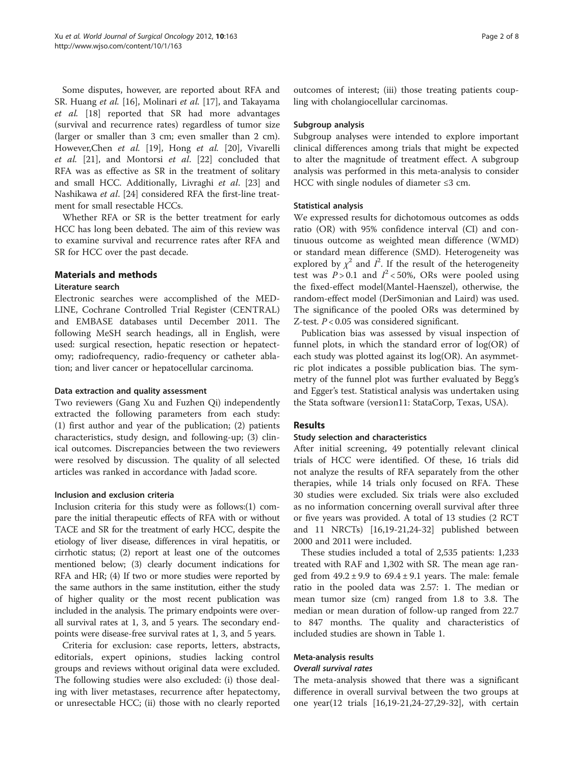Some disputes, however, are reported about RFA and SR. Huang et al. [\[16\]](#page-6-0), Molinari et al. [[17](#page-6-0)], and Takayama et al. [[18\]](#page-6-0) reported that SR had more advantages (survival and recurrence rates) regardless of tumor size (larger or smaller than 3 cm; even smaller than 2 cm). However,Chen et al. [\[19](#page-6-0)], Hong et al. [\[20\]](#page-6-0), Vivarelli et al. [\[21](#page-6-0)], and Montorsi et al. [[22](#page-6-0)] concluded that RFA was as effective as SR in the treatment of solitary and small HCC. Additionally, Livraghi et al. [\[23](#page-6-0)] and Nashikawa et al. [[24\]](#page-6-0) considered RFA the first-line treatment for small resectable HCCs.

Whether RFA or SR is the better treatment for early HCC has long been debated. The aim of this review was to examine survival and recurrence rates after RFA and SR for HCC over the past decade.

#### Materials and methods

#### Literature search

Electronic searches were accomplished of the MED-LINE, Cochrane Controlled Trial Register (CENTRAL) and EMBASE databases until December 2011. The following MeSH search headings, all in English, were used: surgical resection, hepatic resection or hepatectomy; radiofrequency, radio-frequency or catheter ablation; and liver cancer or hepatocellular carcinoma.

#### Data extraction and quality assessment

Two reviewers (Gang Xu and Fuzhen Qi) independently extracted the following parameters from each study: (1) first author and year of the publication; (2) patients characteristics, study design, and following-up; (3) clinical outcomes. Discrepancies between the two reviewers were resolved by discussion. The quality of all selected articles was ranked in accordance with Jadad score.

#### Inclusion and exclusion criteria

Inclusion criteria for this study were as follows:(1) compare the initial therapeutic effects of RFA with or without TACE and SR for the treatment of early HCC, despite the etiology of liver disease, differences in viral hepatitis, or cirrhotic status; (2) report at least one of the outcomes mentioned below; (3) clearly document indications for RFA and HR; (4) If two or more studies were reported by the same authors in the same institution, either the study of higher quality or the most recent publication was included in the analysis. The primary endpoints were overall survival rates at 1, 3, and 5 years. The secondary endpoints were disease-free survival rates at 1, 3, and 5 years.

Criteria for exclusion: case reports, letters, abstracts, editorials, expert opinions, studies lacking control groups and reviews without original data were excluded. The following studies were also excluded: (i) those dealing with liver metastases, recurrence after hepatectomy, or unresectable HCC; (ii) those with no clearly reported

outcomes of interest; (iii) those treating patients coupling with cholangiocellular carcinomas.

#### Subgroup analysis

Subgroup analyses were intended to explore important clinical differences among trials that might be expected to alter the magnitude of treatment effect. A subgroup analysis was performed in this meta-analysis to consider HCC with single nodules of diameter ≤3 cm.

#### Statistical analysis

We expressed results for dichotomous outcomes as odds ratio (OR) with 95% confidence interval (CI) and continuous outcome as weighted mean difference (WMD) or standard mean difference (SMD). Heterogeneity was explored by  $\chi^2$  and  $I^2$ . If the result of the heterogeneity test was  $P > 0.1$  and  $I^2 < 50\%$ , ORs were pooled using the fixed-effect model(Mantel-Haenszel), otherwise, the random-effect model (DerSimonian and Laird) was used. The significance of the pooled ORs was determined by Z-test.  $P < 0.05$  was considered significant.

Publication bias was assessed by visual inspection of funnel plots, in which the standard error of log(OR) of each study was plotted against its log(OR). An asymmetric plot indicates a possible publication bias. The symmetry of the funnel plot was further evaluated by Begg's and Egger's test. Statistical analysis was undertaken using the Stata software (version11: StataCorp, Texas, USA).

#### Results

#### Study selection and characteristics

After initial screening, 49 potentially relevant clinical trials of HCC were identified. Of these, 16 trials did not analyze the results of RFA separately from the other therapies, while 14 trials only focused on RFA. These 30 studies were excluded. Six trials were also excluded as no information concerning overall survival after three or five years was provided. A total of 13 studies (2 RCT and 11 NRCTs) [\[16,19](#page-6-0)-[21](#page-6-0),[24](#page-6-0)-[32\]](#page-6-0) published between 2000 and 2011 were included.

These studies included a total of 2,535 patients: 1,233 treated with RAF and 1,302 with SR. The mean age ranged from  $49.2 \pm 9.9$  to  $69.4 \pm 9.1$  years. The male: female ratio in the pooled data was 2.57: 1. The median or mean tumor size (cm) ranged from 1.8 to 3.8. The median or mean duration of follow-up ranged from 22.7 to 847 months. The quality and characteristics of included studies are shown in Table [1.](#page-2-0)

#### Meta-analysis results Overall survival rates

The meta-analysis showed that there was a significant difference in overall survival between the two groups at one year(12 trials [[16,19-21,24](#page-6-0)-[27,29-32\]](#page-6-0), with certain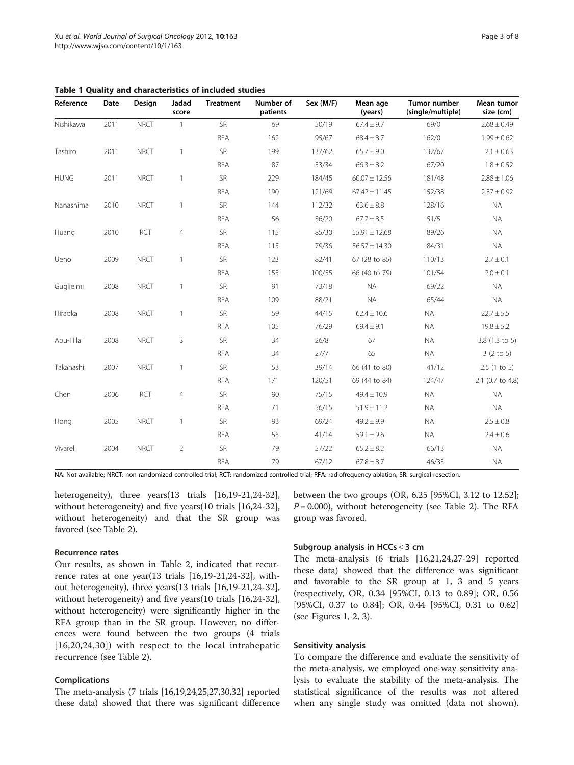| Reference   | Date | Design      | Jadad<br>score | <b>Treatment</b> | Number of<br>patients | Sex (M/F) | Mean age<br>(years) | Tumor number<br>(single/multiple) | Mean tumor<br>size (cm) |
|-------------|------|-------------|----------------|------------------|-----------------------|-----------|---------------------|-----------------------------------|-------------------------|
| Nishikawa   | 2011 | <b>NRCT</b> | $\mathbf{1}$   | <b>SR</b>        | 69                    | 50/19     | $67.4 \pm 9.7$      | 69/0                              | $2.68 \pm 0.49$         |
|             |      |             |                | <b>RFA</b>       | 162                   | 95/67     | $68.4 \pm 8.7$      | 162/0                             | $1.99 \pm 0.62$         |
| Tashiro     | 2011 | <b>NRCT</b> | 1              | <b>SR</b>        | 199                   | 137/62    | $65.7 \pm 9.0$      | 132/67                            | $2.1 \pm 0.63$          |
|             |      |             |                | <b>RFA</b>       | 87                    | 53/34     | $66.3 \pm 8.2$      | 67/20                             | $1.8 \pm 0.52$          |
| <b>HUNG</b> | 2011 | <b>NRCT</b> | 1              | <b>SR</b>        | 229                   | 184/45    | $60.07 \pm 12.56$   | 181/48                            | $2.88 \pm 1.06$         |
|             |      |             |                | <b>RFA</b>       | 190                   | 121/69    | $67.42 \pm 11.45$   | 152/38                            | $2.37 \pm 0.92$         |
| Nanashima   | 2010 | <b>NRCT</b> | $\mathbf{1}$   | <b>SR</b>        | 144                   | 112/32    | $63.6 \pm 8.8$      | 128/16                            | <b>NA</b>               |
|             |      |             |                | <b>RFA</b>       | 56                    | 36/20     | $67.7 \pm 8.5$      | 51/5                              | <b>NA</b>               |
| Huang       | 2010 | <b>RCT</b>  | $\overline{4}$ | <b>SR</b>        | 115                   | 85/30     | $55.91 \pm 12.68$   | 89/26                             | <b>NA</b>               |
|             |      |             |                | <b>RFA</b>       | 115                   | 79/36     | $56.57 \pm 14.30$   | 84/31                             | <b>NA</b>               |
| Ueno        | 2009 | <b>NRCT</b> | 1              | <b>SR</b>        | 123                   | 82/41     | 67 (28 to 85)       | 110/13                            | $2.7 \pm 0.1$           |
|             |      |             |                | <b>RFA</b>       | 155                   | 100/55    | 66 (40 to 79)       | 101/54                            | $2.0 \pm 0.1$           |
| Guglielmi   | 2008 | <b>NRCT</b> | 1              | <b>SR</b>        | 91                    | 73/18     | <b>NA</b>           | 69/22                             | <b>NA</b>               |
|             |      |             |                | <b>RFA</b>       | 109                   | 88/21     | <b>NA</b>           | 65/44                             | <b>NA</b>               |
| Hiraoka     | 2008 | <b>NRCT</b> | 1              | <b>SR</b>        | 59                    | 44/15     | $62.4 \pm 10.6$     | <b>NA</b>                         | $22.7 \pm 5.5$          |
|             |      |             |                | <b>RFA</b>       | 105                   | 76/29     | $69.4 \pm 9.1$      | <b>NA</b>                         | $19.8 \pm 5.2$          |
| Abu-Hilal   | 2008 | <b>NRCT</b> | 3              | <b>SR</b>        | 34                    | 26/8      | 67                  | <b>NA</b>                         | 3.8 (1.3 to 5)          |
|             |      |             |                | <b>RFA</b>       | 34                    | 27/7      | 65                  | <b>NA</b>                         | 3(2 to 5)               |
| Takahashi   | 2007 | <b>NRCT</b> | $\mathbf{1}$   | <b>SR</b>        | 53                    | 39/14     | 66 (41 to 80)       | 41/12                             | 2.5(1 to 5)             |
|             |      |             |                | <b>RFA</b>       | 171                   | 120/51    | 69 (44 to 84)       | 124/47                            | 2.1 (0.7 to 4.8)        |
| Chen        | 2006 | <b>RCT</b>  | $\overline{4}$ | <b>SR</b>        | 90                    | 75/15     | $49.4 \pm 10.9$     | <b>NA</b>                         | <b>NA</b>               |
|             |      |             |                | <b>RFA</b>       | 71                    | 56/15     | $51.9 \pm 11.2$     | <b>NA</b>                         | <b>NA</b>               |
| Hong        | 2005 | <b>NRCT</b> | 1              | <b>SR</b>        | 93                    | 69/24     | $49.2 \pm 9.9$      | <b>NA</b>                         | $2.5 \pm 0.8$           |
|             |      |             |                | <b>RFA</b>       | 55                    | 41/14     | $59.1 \pm 9.6$      | <b>NA</b>                         | $2.4 \pm 0.6$           |
| Vivarell    | 2004 | <b>NRCT</b> | $\overline{2}$ | <b>SR</b>        | 79                    | 57/22     | $65.2 \pm 8.2$      | 66/13                             | <b>NA</b>               |
|             |      |             |                | <b>RFA</b>       | 79                    | 67/12     | $67.8 \pm 8.7$      | 46/33                             | <b>NA</b>               |

<span id="page-2-0"></span>Table 1 Quality and characteristics of included studies

NA: Not available; NRCT: non-randomized controlled trial; RCT: randomized controlled trial; RFA: radiofrequency ablation; SR: surgical resection.

heterogeneity), three years(13 trials [\[16,19-21,24-32](#page-6-0)], without heterogeneity) and five years(10 trials [\[16,24-32](#page-6-0)], without heterogeneity) and that the SR group was favored (see Table [2](#page-3-0)).

#### Recurrence rates

Our results, as shown in Table [2](#page-3-0), indicated that recurrence rates at one year(13 trials [\[16,19-21,24](#page-6-0)-[32\]](#page-6-0), without heterogeneity), three years(13 trials [\[16,19-21,24-32](#page-6-0)], without heterogeneity) and five years(10 trials [\[16,24-32](#page-6-0)], without heterogeneity) were significantly higher in the RFA group than in the SR group. However, no differences were found between the two groups (4 trials [[16,20](#page-6-0),[24](#page-6-0),[30](#page-6-0)]) with respect to the local intrahepatic recurrence (see Table [2](#page-3-0)).

#### Complications

The meta-analysis (7 trials [\[16,19,24,25,27,30,32\]](#page-6-0) reported these data) showed that there was significant difference

between the two groups (OR, 6.25 [95%CI, 3.12 to 12.52];  $P = 0.000$ , without heterogeneity (see Table [2\)](#page-3-0). The RFA group was favored.

#### Subgroup analysis in HCCs  $\leq$  3 cm

The meta-analysis (6 trials [[16](#page-6-0),[21](#page-6-0),[24,27](#page-6-0)-[29\]](#page-6-0) reported these data) showed that the difference was significant and favorable to the SR group at 1, 3 and 5 years (respectively, OR, 0.34 [95%CI, 0.13 to 0.89]; OR, 0.56 [95%CI, 0.37 to 0.84]; OR, 0.44 [95%CI, 0.31 to 0.62] (see Figures [1,](#page-3-0) [2, 3\)](#page-4-0).

#### Sensitivity analysis

To compare the difference and evaluate the sensitivity of the meta-analysis, we employed one-way sensitivity analysis to evaluate the stability of the meta-analysis. The statistical significance of the results was not altered when any single study was omitted (data not shown).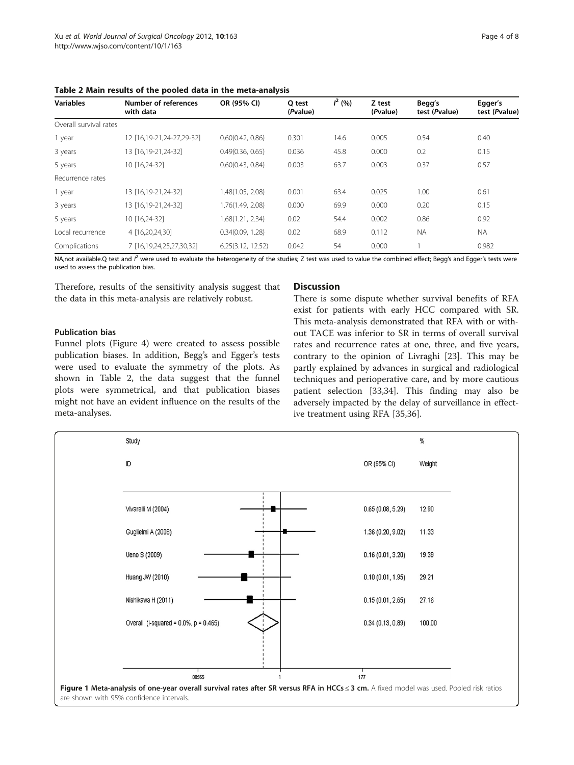| <b>Variables</b>       | Number of references<br>with data | OR (95% CI)       | O test<br>(Pvalue) | $I^2(96)$ | Z test<br>(Pvalue) | Begg's<br>test (Pvalue) | Egger's<br>test (Pvalue) |
|------------------------|-----------------------------------|-------------------|--------------------|-----------|--------------------|-------------------------|--------------------------|
| Overall survival rates |                                   |                   |                    |           |                    |                         |                          |
| year                   | 12 [16,19-21,24-27,29-32]         | 0.60(0.42, 0.86)  | 0.301              | 14.6      | 0.005              | 0.54                    | 0.40                     |
| 3 years                | 13 [16,19-21,24-32]               | 0.49(0.36, 0.65)  | 0.036              | 45.8      | 0.000              | 0.2                     | 0.15                     |
| 5 years                | 10 [16,24-32]                     | 0.60(0.43, 0.84)  | 0.003              | 63.7      | 0.003              | 0.37                    | 0.57                     |
| Recurrence rates       |                                   |                   |                    |           |                    |                         |                          |
| 1 year                 | 13 [16,19-21,24-32]               | 1.48(1.05, 2.08)  | 0.001              | 63.4      | 0.025              | 1.00                    | 0.61                     |
| 3 years                | 13 [16,19-21,24-32]               | 1.76(1.49, 2.08)  | 0.000              | 69.9      | 0.000              | 0.20                    | 0.15                     |
| 5 years                | 10 [16,24-32]                     | 1.68(1.21, 2.34)  | 0.02               | 54.4      | 0.002              | 0.86                    | 0.92                     |
| Local recurrence       | 4 [16,20,24,30]                   | 0.34(0.09, 1.28)  | 0.02               | 68.9      | 0.112              | <b>NA</b>               | <b>NA</b>                |
| Complications          | 7 [16,19,24,25,27,30,32]          | 6.25(3.12, 12.52) | 0.042              | 54        | 0.000              |                         | 0.982                    |

<span id="page-3-0"></span>Table 2 Main results of the pooled data in the meta-analysis

NA,not available.Q test and  $l^2$  were used to evaluate the heterogeneity of the studies; Z test was used to value the combined effect; Begg's and Egger's tests were used to assess the publication bias.

Therefore, results of the sensitivity analysis suggest that the data in this meta-analysis are relatively robust.

#### Publication bias

Funnel plots (Figure [4\)](#page-5-0) were created to assess possible publication biases. In addition, Begg's and Egger's tests were used to evaluate the symmetry of the plots. As shown in Table 2, the data suggest that the funnel plots were symmetrical, and that publication biases might not have an evident influence on the results of the meta-analyses.

### **Discussion**

There is some dispute whether survival benefits of RFA exist for patients with early HCC compared with SR. This meta-analysis demonstrated that RFA with or without TACE was inferior to SR in terms of overall survival rates and recurrence rates at one, three, and five years, contrary to the opinion of Livraghi [[23](#page-6-0)]. This may be partly explained by advances in surgical and radiological techniques and perioperative care, and by more cautious patient selection [[33,34](#page-6-0)]. This finding may also be adversely impacted by the delay of surveillance in effective treatment using RFA [[35](#page-6-0),[36](#page-6-0)].

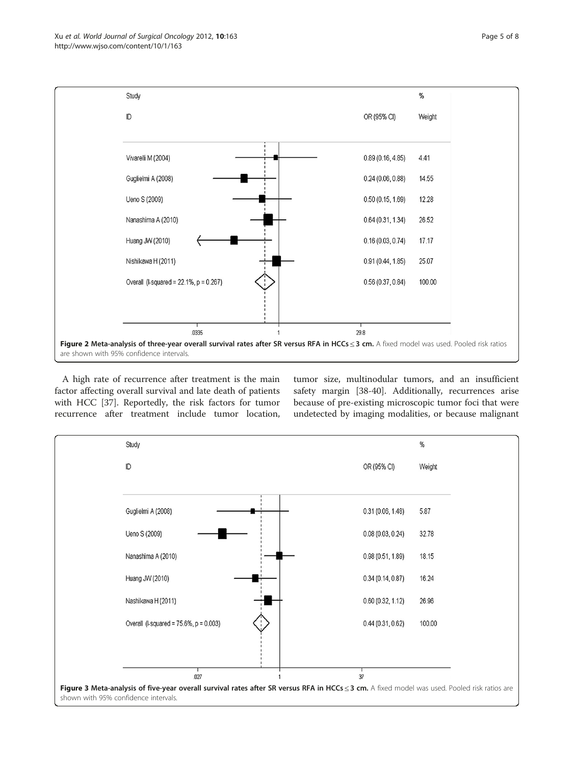<span id="page-4-0"></span>

A high rate of recurrence after treatment is the main factor affecting overall survival and late death of patients with HCC [\[37\]](#page-6-0). Reportedly, the risk factors for tumor recurrence after treatment include tumor location, tumor size, multinodular tumors, and an insufficient safety margin [[38](#page-7-0)-[40\]](#page-7-0). Additionally, recurrences arise because of pre-existing microscopic tumor foci that were undetected by imaging modalities, or because malignant

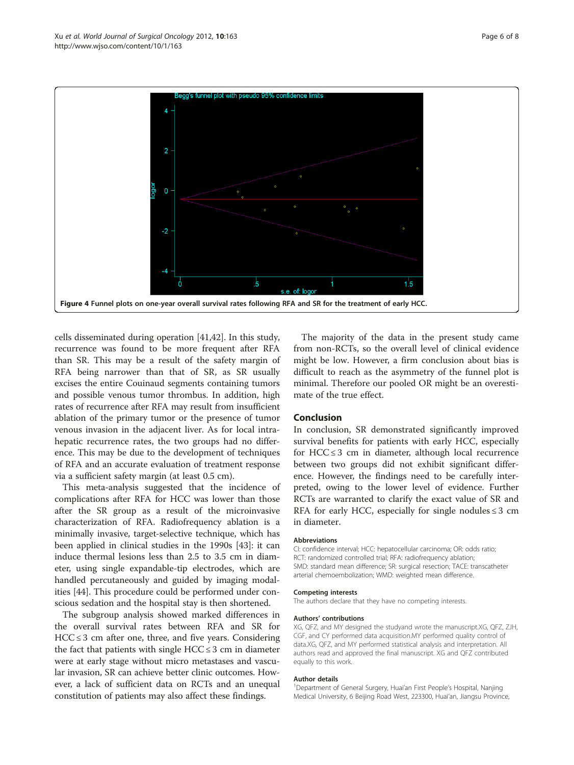<span id="page-5-0"></span>

cells disseminated during operation [\[41,42](#page-7-0)]. In this study, recurrence was found to be more frequent after RFA than SR. This may be a result of the safety margin of RFA being narrower than that of SR, as SR usually excises the entire Couinaud segments containing tumors and possible venous tumor thrombus. In addition, high rates of recurrence after RFA may result from insufficient ablation of the primary tumor or the presence of tumor venous invasion in the adjacent liver. As for local intrahepatic recurrence rates, the two groups had no difference. This may be due to the development of techniques of RFA and an accurate evaluation of treatment response via a sufficient safety margin (at least 0.5 cm).

This meta-analysis suggested that the incidence of complications after RFA for HCC was lower than those after the SR group as a result of the microinvasive characterization of RFA. Radiofrequency ablation is a minimally invasive, target-selective technique, which has been applied in clinical studies in the 1990s [[43\]](#page-7-0): it can induce thermal lesions less than 2.5 to 3.5 cm in diameter, using single expandable-tip electrodes, which are handled percutaneously and guided by imaging modalities [\[44\]](#page-7-0). This procedure could be performed under conscious sedation and the hospital stay is then shortened.

The subgroup analysis showed marked differences in the overall survival rates between RFA and SR for HCC≤ 3 cm after one, three, and five years. Considering the fact that patients with single HCC≤ 3 cm in diameter were at early stage without micro metastases and vascular invasion, SR can achieve better clinic outcomes. However, a lack of sufficient data on RCTs and an unequal constitution of patients may also affect these findings.

The majority of the data in the present study came from non-RCTs, so the overall level of clinical evidence might be low. However, a firm conclusion about bias is difficult to reach as the asymmetry of the funnel plot is minimal. Therefore our pooled OR might be an overestimate of the true effect.

#### Conclusion

In conclusion, SR demonstrated significantly improved survival benefits for patients with early HCC, especially for HCC≤ 3 cm in diameter, although local recurrence between two groups did not exhibit significant difference. However, the findings need to be carefully interpreted, owing to the lower level of evidence. Further RCTs are warranted to clarify the exact value of SR and RFA for early HCC, especially for single nodules  $\leq$  3 cm in diameter.

#### Abbreviations

CI: confidence interval; HCC: hepatocellular carcinoma; OR: odds ratio; RCT: randomized controlled trial; RFA: radiofrequency ablation; SMD: standard mean difference; SR: surgical resection; TACE: transcatheter arterial chemoembolization; WMD: weighted mean difference.

#### Competing interests

The authors declare that they have no competing interests.

#### Authors' contributions

XG, QFZ, and MY designed the studyand wrote the manuscript.XG, QFZ, ZJH, CGF, and CY performed data acquisition.MY performed quality control of data.XG, QFZ, and MY performed statistical analysis and interpretation. All authors read and approved the final manuscript. XG and QFZ contributed equally to this work.

#### Author details

<sup>1</sup>Department of General Surgery, Huai'an First People's Hospital, Nanjing Medical University, 6 Beijing Road West, 223300, Huai'an, Jiangsu Province,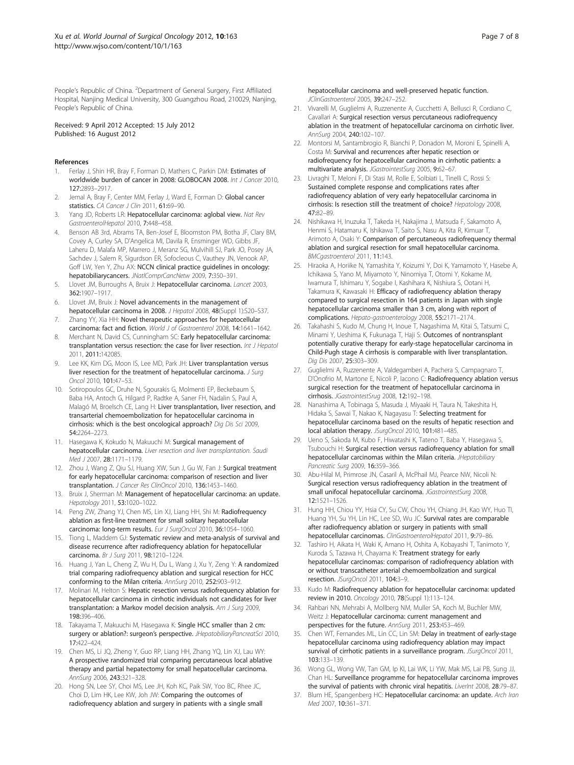<span id="page-6-0"></span>People's Republic of China. <sup>2</sup>Department of General Surgery, First Affiliated Hospital, Nanjing Medical University, 300 Guangzhou Road, 210029, Nanjing, People's Republic of China.

#### Received: 9 April 2012 Accepted: 15 July 2012 Published: 16 August 2012

#### References

- Ferlay J, Shin HR, Bray F, Forman D, Mathers C, Parkin DM: Estimates of worldwide burden of cancer in 2008: GLOBOCAN 2008. Int J Cancer 2010, 127:2893–2917.
- 2. Jemal A, Bray F, Center MM, Ferlay J, Ward E, Forman D: Global cancer statistics. CA Cancer J Clin 2011, 61:69-90.
- 3. Yang JD, Roberts LR: Hepatocellular carcinoma: aglobal view. Nat Rev GastroenterolHepatol 2010, 7:448–458.
- 4. Benson AB 3rd, Abrams TA, Ben-Josef E, Bloomston PM, Botha JF, Clary BM, Covey A, Curley SA, D'Angelica MI, Davila R, Ensminger WD, Gibbs JF, Laheru D, Malafa MP, Marrero J, Meranz SG, Mulvihill SJ, Park JO, Posey JA, Sachdev J, Salem R, Sigurdson ER, Sofocleous C, Vauthey JN, Venook AP, Goff LW, Yen Y, Zhu AX: NCCN clinical practice guidelines in oncology: hepatobiliarycancers. JNatlComprCancNetw 2009, 7:350–391.
- 5. Llovet JM, Burroughs A, Bruix J: Hepatocellular carcinoma. Lancet 2003, 362:1907–1917.
- 6. Llovet JM, Bruix J: Novel advancements in the management of hepatocellular carcinoma in 2008. J Hepatol 2008, 48(Suppl 1):S20–S37.
- 7. Zhang YY, Xia HH: Novel therapeutic approaches for hepatocellular carcinoma: fact and fiction. World J of Gastroenterol 2008, 14:1641–1642.
- 8. Merchant N, David CS, Cunningham SC: Early hepatocellular carcinoma: transplantation versus resection: the case for liver resection. Int J Hepatol 2011, 2011:142085.
- Lee KK, Kim DG, Moon IS, Lee MD, Park JH: Liver transplantation versus liver resection for the treatment of hepatocellular carcinoma. J Surg Oncol 2010, 101:47–53.
- 10. Sotiropoulos GC, Druhe N, Sgourakis G, Molmenti EP, Beckebaum S, Baba HA, Antoch G, Hilgard P, Radtke A, Saner FH, Nadalin S, Paul A, Malagó M, Broelsch CE, Lang H: Liver transplantation, liver resection, and transarterial chemoembolization for hepatocellular carcinoma in cirrhosis: which is the best oncological approach? Dig Dis Sci 2009, 54:2264–2273.
- 11. Hasegawa K, Kokudo N, Makuuchi M: Surgical management of hepatocellular carcinoma. Liver resection and liver transplantation. Saudi Med J 2007, 28:1171–1179.
- 12. Zhou J, Wang Z, Qiu SJ, Huang XW, Sun J, Gu W, Fan J: Surgical treatment for early hepatocellular carcinoma: comparison of resection and liver transplantation. J Cancer Res ClinOncol 2010, 136:1453-1460.
- 13. Bruix J, Sherman M: Management of hepatocellular carcinoma: an update. Hepatology 2011, 53:1020–1022.
- 14. Peng ZW, Zhang YJ, Chen MS, Lin XJ, Liang HH, Shi M: Radiofrequency ablation as first-line treatment for small solitary hepatocellular carcinoma: long-term results. Eur J SurgOncol 2010, 36:1054–1060.
- 15. Tiong L, Maddern GJ: Systematic review and meta-analysis of survival and disease recurrence after radiofrequency ablation for hepatocellular carcinoma. Br J Surg 2011, 98:1210–1224.
- 16. Huang J, Yan L, Cheng Z, Wu H, Du L, Wang J, Xu Y, Zeng Y: A randomized trial comparing radiofrequency ablation and surgical resection for HCC conforming to the Milan criteria. AnnSurg 2010, 252:903–912.
- 17. Molinari M, Helton S: Hepatic resection versus radiofrequency ablation for hepatocellular carcinoma in cirrhotic individuals not candidates for liver transplantation: a Markov model decision analysis. Am J Surg 2009, 198:396–406.
- 18. Takayama T, Makuuchi M, Hasegawa K: Single HCC smaller than 2 cm: surgery or ablation?: surgeon's perspective. JHepatobiliaryPancreatSci 2010, 17:422–424.
- 19. Chen MS, Li JQ, Zheng Y, Guo RP, Liang HH, Zhang YQ, Lin XJ, Lau WY: A prospective randomized trial comparing percutaneous local ablative therapy and partial hepatectomy for small hepatocellular carcinoma. AnnSurg 2006, 243:321–328.
- 20. Hong SN, Lee SY, Choi MS, Lee JH, Koh KC, Paik SW, Yoo BC, Rhee JC, Choi D, Lim HK, Lee KW, Joh JW: Comparing the outcomes of radiofrequency ablation and surgery in patients with a single small

hepatocellular carcinoma and well-preserved hepatic function. JClinGastroenterol 2005, 39:247–252.

- 21. Vivarelli M, Guglielmi A, Ruzzenente A, Cucchetti A, Bellusci R, Cordiano C, Cavallari A: Surgical resection versus percutaneous radiofrequency ablation in the treatment of hepatocellular carcinoma on cirrhotic liver. AnnSurg 2004, 240:102–107.
- 22. Montorsi M, Santambrogio R, Bianchi P, Donadon M, Moroni E, Spinelli A, Costa M: Survival and recurrences after hepatic resection or radiofrequency for hepatocellular carcinoma in cirrhotic patients: a multivariate analysis. JGastrointestSurg 2005, 9:62-67.
- 23. Livraghi T, Meloni F, Di Stasi M, Rolle E, Solbiati L, Tinelli C, Rossi S: Sustained complete response and complications rates after radiofrequency ablation of very early hepatocellular carcinoma in cirrhosis: Is resection still the treatment of choice? Hepatology 2008, 47:82–89.
- 24. Nishikawa H, Inuzuka T, Takeda H, Nakajima J, Matsuda F, Sakamoto A, Henmi S, Hatamaru K, Ishikawa T, Saito S, Nasu A, Kita R, Kimuar T, Arimoto A, Osaki Y: Comparison of percutaneous radiofrequency thermal ablation and surgical resection for small hepatocellular carcinoma. BMCgastroenterol 2011, 11:143.
- 25. Hiraoka A, Horiike N, Yamashita Y, Koizumi Y, Doi K, Yamamoto Y, Hasebe A, Ichikawa S, Yano M, Miyamoto Y, Ninomiya T, Otomi Y, Kokame M, Iwamura T, Ishimaru Y, Sogabe I, Kashihara K, Nishiura S, Ootani H, Takamura K, Kawasaki H: Efficacy of radiofrequency ablation therapy compared to surgical resection in 164 patients in Japan with single hepatocellular carcinoma smaller than 3 cm, along with report of complications. Hepato-gastroenterology 2008, 55:2171–2174.
- 26. Takahashi S, Kudo M, Chung H, Inoue T, Nagashima M, Kitai S, Tatsumi C, Minami Y, Ueshima K, Fukunaga T, Haji S: Outcomes of nontransplant potentially curative therapy for early-stage hepatocellular carcinoma in Child-Pugh stage A cirrhosis is comparable with liver transplantation. Dig Dis 2007, 25:303–309.
- 27. Guglielmi A, Ruzzenente A, Valdegamberi A, Pachera S, Campagnaro T, D'Onofrio M, Martone E, Nicoli P, Iacono C: Radiofrequency ablation versus surgical resection for the treatment of hepatocellular carcinoma in cirrhosis. JGastrointestSrug 2008, 12:192–198.
- 28. Nanashima A, Tobinaga S, Masuda J, Miyaaki H, Taura N, Takeshita H, Hidaka S, Sawai T, Nakao K, Nagayasu T: Selecting treatment for hepatocellular carcinoma based on the results of hepatic resection and local ablation therapy. JSurgOncol 2010, 101:481-485.
- 29. Ueno S, Sakoda M, Kubo F, Hiwatashi K, Tateno T, Baba Y, Hasegawa S, Tsubouchi H: Surgical resection versus radiofrequency ablation for small hepatocellular carcinomas within the Milan criteria. JHepatobiliary Pancreatic Surg 2009, 16:359–366.
- 30. Abu-Hilal M, Primrose JN, Casaril A, McPhail MJ, Pearce NW, Nicoli N: Surgical resection versus radiofrequency ablation in the treatment of small unifocal hepatocellular carcinoma. JGastrointestSurg 2008, 12:1521–1526.
- 31. Hung HH, Chiou YY, Hsia CY, Su CW, Chou YH, Chiang JH, Kao WY, Huo TI, Huang YH, Su YH, Lin HC, Lee SD, Wu JC: Survival rates are comparable after radiofrequency ablation or surgery in patients with small hepatocellular carcinomas. ClinGastroenterolHepatol 2011, 9:79-86.
- 32. Tashiro H, Aikata H, Waki K, Amano H, Oshita A, Kobayashi T, Tanimoto Y, Kuroda S, Tazawa H, Chayama K: Treatment strategy for early hepatocellular carcinomas: comparison of radiofrequency ablation with or without transcatheter arterial chemoembolization and surgical resection. JSurgOncol 2011, 104:3–9.
- 33. Kudo M: Radiofrequency ablation for hepatocellular carcinoma: updated review in 2010. Oncology 2010, 78(Suppl 1):113–124.
- 34. Rahbari NN, Mehrabi A, Mollberg NM, Muller SA, Koch M, Buchler MW, Weitz J: Hepatocellular carcinoma: current management and perspectives for the future. AnnSurg 2011, 253:453–469.
- 35. Chen WT, Fernandes ML, Lin CC, Lin SM: Delay in treatment of early-stage hepatocellular carcinoma using radiofrequency ablation may impact survival of cirrhotic patients in a surveillance program. JSurgOncol 2011, 103:133–139.
- 36. Wong GL, Wong VW, Tan GM, Ip KI, Lai WK, Li YW, Mak MS, Lai PB, Sung JJ, Chan HL: Surveillance programme for hepatocellular carcinoma improves the survival of patients with chronic viral hepatitis. LiverInt 2008, 28:79-87.
- 37. Blum HE, Spangenberg HC: Hepatocellular carcinoma: an update. Arch Iran Med 2007, 10:361–371.